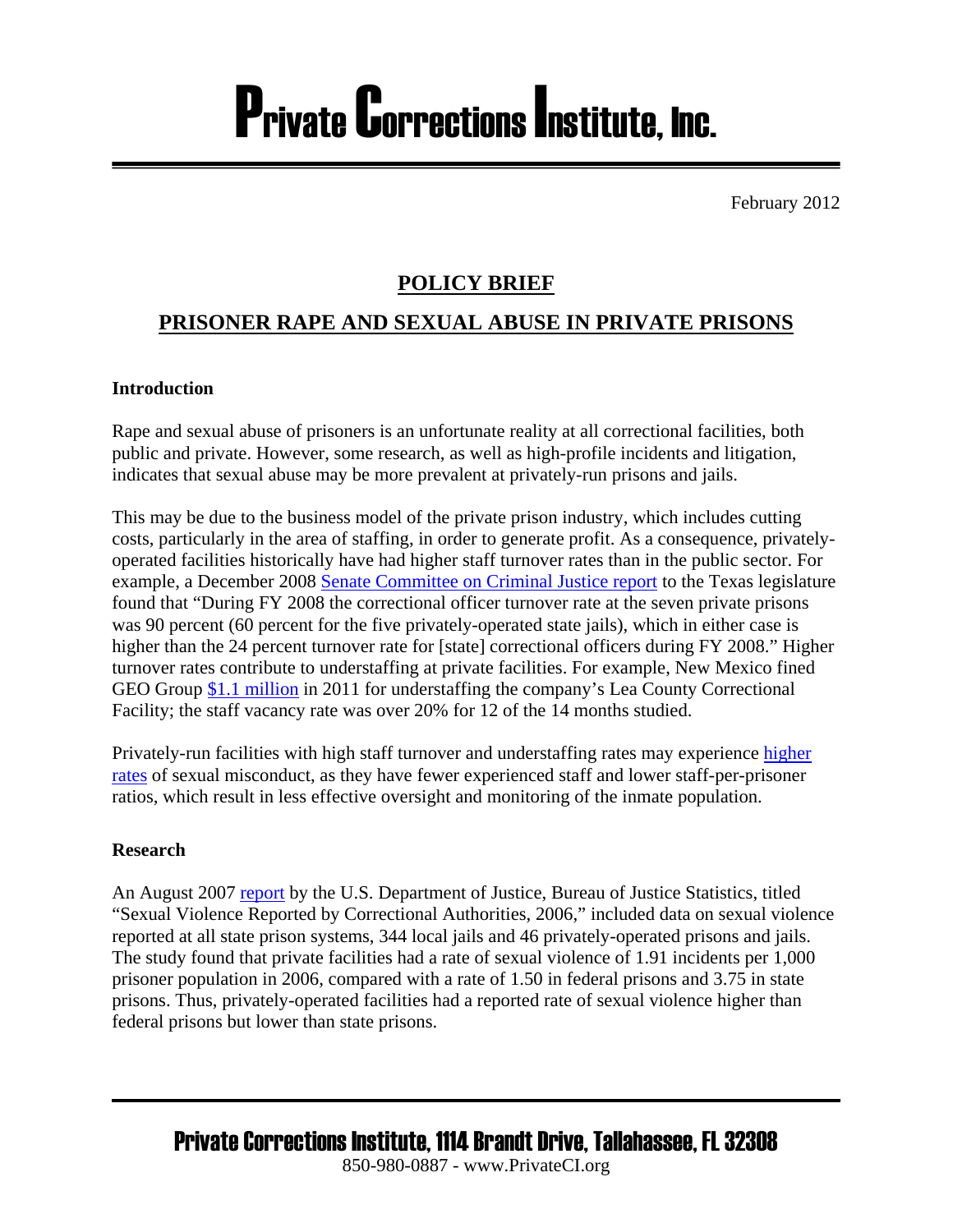# Private Corrections Institute, Inc.

February 2012

### **POLICY BRIEF**

## **PRISONER RAPE AND SEXUAL ABUSE IN PRIVATE PRISONS**

#### **Introduction**

Rape and sexual abuse of prisoners is an unfortunate reality at all correctional facilities, both public and private. However, some research, as well as high-profile incidents and litigation, indicates that sexual abuse may be more prevalent at privately-run prisons and jails.

This may be due to the business model of the private prison industry, which includes cutting costs, particularly in the area of staffing, in order to generate profit. As a consequence, privatelyoperated facilities historically have had higher staff turnover rates than in the public sector. For example, a December 2008 [Senate Committee on Criminal Justice report](http://www.senate.state.tx.us/75r/senate/commit/c590/c590.InterimReport80.pdf) to the Texas legislature found that "During FY 2008 the correctional officer turnover rate at the seven private prisons was 90 percent (60 percent for the five privately-operated state jails), which in either case is higher than the 24 percent turnover rate for [state] correctional officers during FY 2008." Higher turnover rates contribute to understaffing at private facilities. For example, New Mexico fined GEO Group [\\$1.1 million](http://www.santafenewmexican.com/localnews/State-fines-private-prison-operator--1-1-million-over-staffing-) in 2011 for understaffing the company's Lea County Correctional Facility; the staff vacancy rate was over 20% for 12 of the 14 months studied.

Privately-run facilities with high staff turnover and understaffing rates may experience [higher](http://www.koat.com/r/17595551/detail.html)  [rates](http://www.koat.com/r/17595551/detail.html) of sexual misconduct, as they have fewer experienced staff and lower staff-per-prisoner ratios, which result in less effective oversight and monitoring of the inmate population.

#### **Research**

An August 2007 [report](http://www.bjs.gov/content/pub/pdf/svrca06.pdf) by the U.S. Department of Justice, Bureau of Justice Statistics, titled "Sexual Violence Reported by Correctional Authorities, 2006," included data on sexual violence reported at all state prison systems, 344 local jails and 46 privately-operated prisons and jails. The study found that private facilities had a rate of sexual violence of 1.91 incidents per 1,000 prisoner population in 2006, compared with a rate of 1.50 in federal prisons and 3.75 in state prisons. Thus, privately-operated facilities had a reported rate of sexual violence higher than federal prisons but lower than state prisons.

Private Corrections Institute, 1114 Brandt Drive, Tallahassee, FL 32308 850-980-0887 - www.PrivateCI.org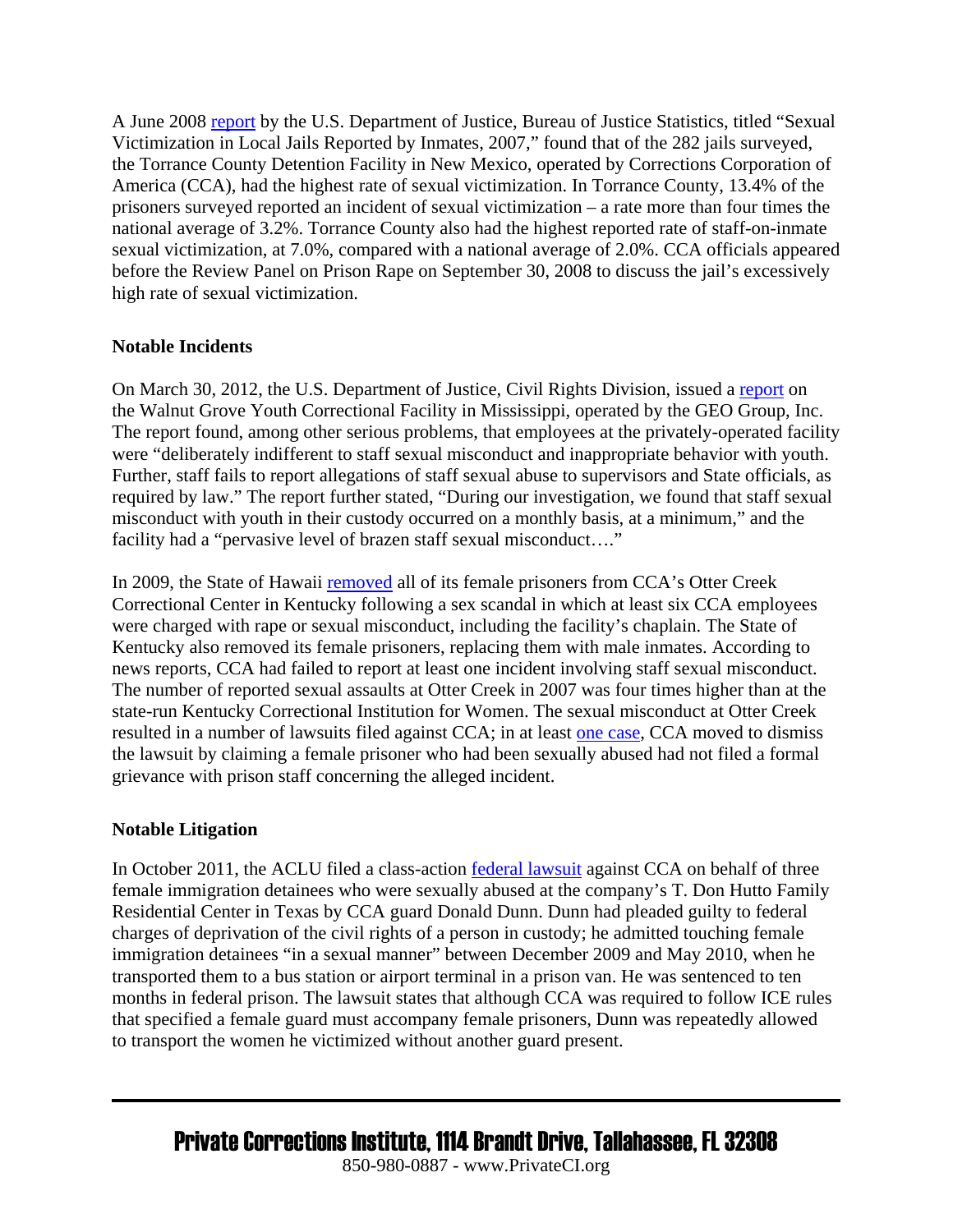A June 2008 [report](http://bjs.ojp.usdoj.gov/content/pub/pdf/svljri07.pdf) by the U.S. Department of Justice, Bureau of Justice Statistics, titled "Sexual Victimization in Local Jails Reported by Inmates, 2007," found that of the 282 jails surveyed, the Torrance County Detention Facility in New Mexico, operated by Corrections Corporation of America (CCA), had the highest rate of sexual victimization. In Torrance County, 13.4% of the prisoners surveyed reported an incident of sexual victimization – a rate more than four times the national average of 3.2%. Torrance County also had the highest reported rate of staff-on-inmate sexual victimization, at 7.0%, compared with a national average of 2.0%. CCA officials appeared before the Review Panel on Prison Rape on September 30, 2008 to discuss the jail's excessively high rate of sexual victimization.

#### **Notable Incidents**

On March 30, 2012, the U.S. Department of Justice, Civil Rights Division, issued a [report](http://www.justice.gov/crt/about/spl/documents/walnutgrovefl.pdf) on the Walnut Grove Youth Correctional Facility in Mississippi, operated by the GEO Group, Inc. The report found, among other serious problems, that employees at the privately-operated facility were "deliberately indifferent to staff sexual misconduct and inappropriate behavior with youth. Further, staff fails to report allegations of staff sexual abuse to supervisors and State officials, as required by law." The report further stated, "During our investigation, we found that staff sexual misconduct with youth in their custody occurred on a monthly basis, at a minimum," and the facility had a "pervasive level of brazen staff sexual misconduct…."

In 2009, the State of Hawaii [removed](http://www.nytimes.com/2009/08/26/us/26kentucky.html) all of its female prisoners from CCA's Otter Creek Correctional Center in Kentucky following a sex scandal in which at least six CCA employees were charged with rape or sexual misconduct, including the facility's chaplain. The State of Kentucky also removed its female prisoners, replacing them with male inmates. According to news reports, CCA had failed to report at least one incident involving staff sexual misconduct. The number of reported sexual assaults at Otter Creek in 2007 was four times higher than at the state-run Kentucky Correctional Institution for Women. The sexual misconduct at Otter Creek resulted in a number of lawsuits filed against CCA; in at least [one case,](http://www.mcclatchydc.com/2009/07/31/v-print/72809/lawsuit-alleges-private-prison.html) CCA moved to dismiss the lawsuit by claiming a female prisoner who had been sexually abused had not filed a formal grievance with prison staff concerning the alleged incident.

#### **Notable Litigation**

In October 2011, the ACLU filed a class-action [federal lawsuit](http://www.aclutx.org/2011/10/19/aclu-of-texas-sues-ice-officials-williamson-county-and-cca-for-sexual-assault-of-immigrant-women/) against CCA on behalf of three female immigration detainees who were sexually abused at the company's T. Don Hutto Family Residential Center in Texas by CCA guard Donald Dunn. Dunn had pleaded guilty to federal charges of deprivation of the civil rights of a person in custody; he admitted touching female immigration detainees "in a sexual manner" between December 2009 and May 2010, when he transported them to a bus station or airport terminal in a prison van. He was sentenced to ten months in federal prison. The lawsuit states that although CCA was required to follow ICE rules that specified a female guard must accompany female prisoners, Dunn was repeatedly allowed to transport the women he victimized without another guard present.

Private Corrections Institute, 1114 Brandt Drive, Tallahassee, FL 32308

850-980-0887 - www.PrivateCI.org